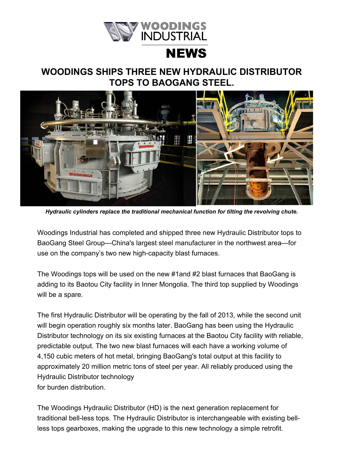

## **NEWS**

## **WOODINGS SHIPS THREE NEW HYDRAULIC DISTRIBUTOR TOPS TO BAOGANG STEEL.**



*Hydraulic cylinders replace the traditional mechanical function for tilting the revolving chute.*

Woodings Industrial has completed and shipped three new Hydraulic Distributor tops to BaoGang Steel Group—China's largest steel manufacturer in the northwest area—for use on the company's two new high-capacity blast furnaces.

The Woodings tops will be used on the new #1and #2 blast furnaces that BaoGang is adding to its Baotou City facility in Inner Mongolia. The third top supplied by Woodings will be a spare.

The first Hydraulic Distributor will be operating by the fall of 2013, while the second unit will begin operation roughly six months later. BaoGang has been using the Hydraulic Distributor technology on its six existing furnaces at the Baotou City facility with reliable, predictable output. The two new blast furnaces will each have a working volume of 4,150 cubic meters of hot metal, bringing BaoGang's total output at this facility to approximately 20 million metric tons of steel per year. All reliably produced using the Hydraulic Distributor technology for burden distribution.

The Woodings Hydraulic Distributor (HD) is the next generation replacement for traditional bell-less tops. The Hydraulic Distributor is interchangeable with existing bellless tops gearboxes, making the upgrade to this new technology a simple retrofit.